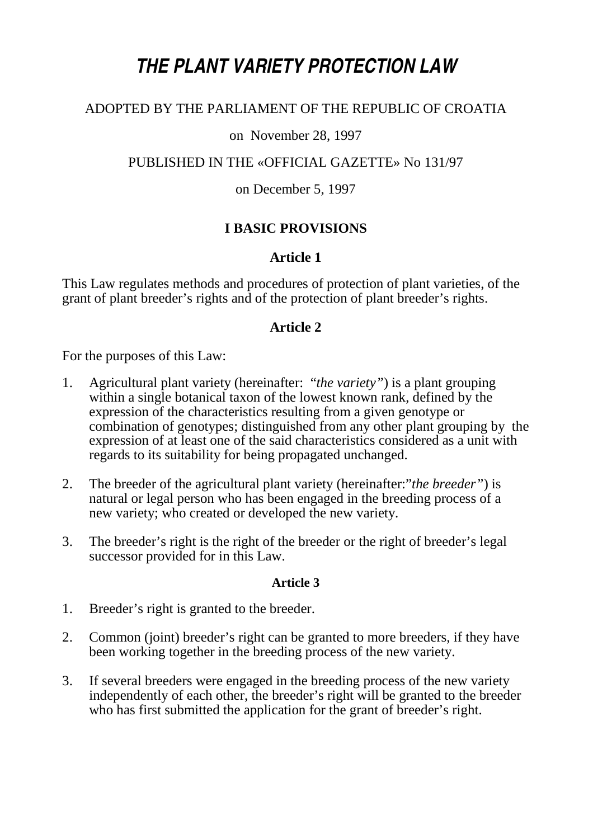# **THE PLANT VARIETY PROTECTION LAW**

#### ADOPTED BY THE PARLIAMENT OF THE REPUBLIC OF CROATIA

#### on November 28, 1997

PUBLISHED IN THE «OFFICIAL GAZETTE» No 131/97

#### on December 5, 1997

### **I BASIC PROVISIONS**

#### **Article 1**

This Law regulates methods and procedures of protection of plant varieties, of the grant of plant breeder's rights and of the protection of plant breeder's rights.

#### **Article 2**

For the purposes of this Law:

- 1. Agricultural plant variety (hereinafter: "*the variety"*) is a plant grouping within a single botanical taxon of the lowest known rank, defined by the expression of the characteristics resulting from a given genotype or combination of genotypes; distinguished from any other plant grouping by the expression of at least one of the said characteristics considered as a unit with regards to its suitability for being propagated unchanged.
- 2. The breeder of the agricultural plant variety (hereinafter:"*the breeder"*) is natural or legal person who has been engaged in the breeding process of a new variety; who created or developed the new variety.
- 3. The breeder's right is the right of the breeder or the right of breeder's legal successor provided for in this Law.

- 1. Breeder's right is granted to the breeder.
- 2. Common (joint) breeder's right can be granted to more breeders, if they have been working together in the breeding process of the new variety.
- 3. If several breeders were engaged in the breeding process of the new variety independently of each other, the breeder's right will be granted to the breeder who has first submitted the application for the grant of breeder's right.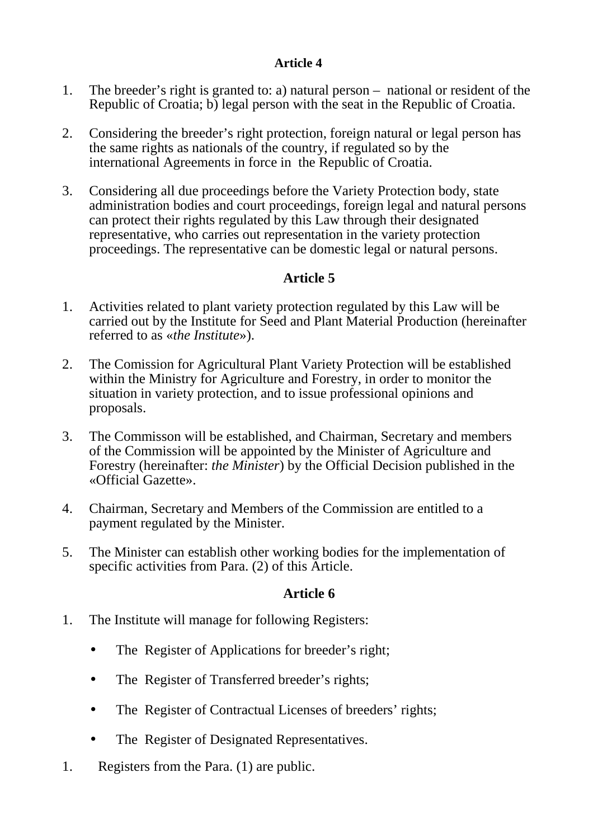- 1. The breeder's right is granted to: a) natural person national or resident of the Republic of Croatia; b) legal person with the seat in the Republic of Croatia.
- 2. Considering the breeder's right protection, foreign natural or legal person has the same rights as nationals of the country, if regulated so by the international Agreements in force in the Republic of Croatia.
- 3. Considering all due proceedings before the Variety Protection body, state administration bodies and court proceedings, foreign legal and natural persons can protect their rights regulated by this Law through their designated representative, who carries out representation in the variety protection proceedings. The representative can be domestic legal or natural persons.

#### **Article 5**

- 1. Activities related to plant variety protection regulated by this Law will be carried out by the Institute for Seed and Plant Material Production (hereinafter referred to as «*the Institute*»).
- 2. The Comission for Agricultural Plant Variety Protection will be established within the Ministry for Agriculture and Forestry, in order to monitor the situation in variety protection, and to issue professional opinions and proposals.
- 3. The Commisson will be established, and Chairman, Secretary and members of the Commission will be appointed by the Minister of Agriculture and Forestry (hereinafter: *the Minister*) by the Official Decision published in the «Official Gazette».
- 4. Chairman, Secretary and Members of the Commission are entitled to a payment regulated by the Minister.
- 5. The Minister can establish other working bodies for the implementation of specific activities from Para. (2) of this Article.

- 1. The Institute will manage for following Registers:
	- The Register of Applications for breeder's right:
	- The Register of Transferred breeder's rights;
	- The Register of Contractual Licenses of breeders' rights;
	- The Register of Designated Representatives.
- 1. Registers from the Para. (1) are public.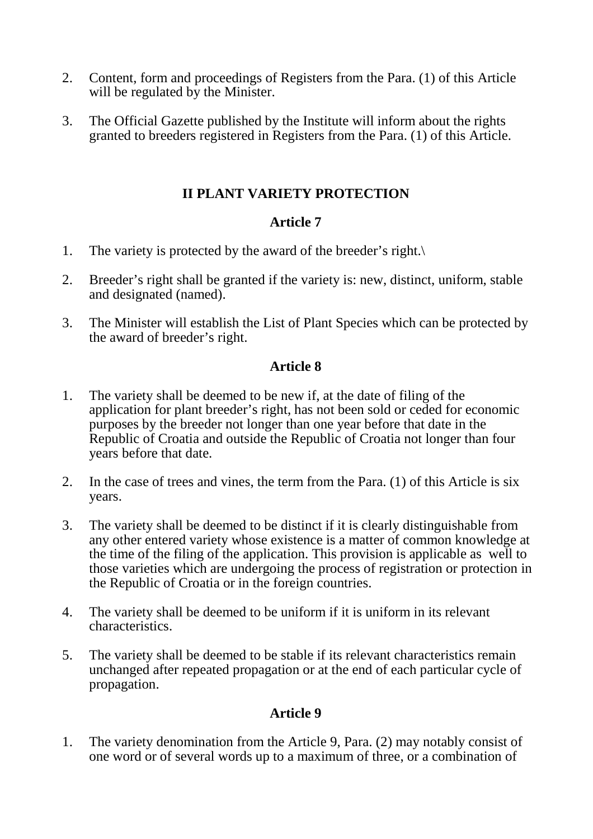- 2. Content, form and proceedings of Registers from the Para. (1) of this Article will be regulated by the Minister.
- 3. The Official Gazette published by the Institute will inform about the rights granted to breeders registered in Registers from the Para. (1) of this Article.

### **II PLANT VARIETY PROTECTION**

### **Article 7**

- 1. The variety is protected by the award of the breeder's right.\
- 2. Breeder's right shall be granted if the variety is: new, distinct, uniform, stable and designated (named).
- 3. The Minister will establish the List of Plant Species which can be protected by the award of breeder's right.

#### **Article 8**

- 1. The variety shall be deemed to be new if, at the date of filing of the application for plant breeder's right, has not been sold or ceded for economic purposes by the breeder not longer than one year before that date in the Republic of Croatia and outside the Republic of Croatia not longer than four years before that date.
- 2. In the case of trees and vines, the term from the Para. (1) of this Article is six years.
- 3. The variety shall be deemed to be distinct if it is clearly distinguishable from any other entered variety whose existence is a matter of common knowledge at the time of the filing of the application. This provision is applicable as well to those varieties which are undergoing the process of registration or protection in the Republic of Croatia or in the foreign countries.
- 4. The variety shall be deemed to be uniform if it is uniform in its relevant characteristics.
- 5. The variety shall be deemed to be stable if its relevant characteristics remain unchanged after repeated propagation or at the end of each particular cycle of propagation.

### **Article 9**

1. The variety denomination from the Article 9, Para. (2) may notably consist of one word or of several words up to a maximum of three, or a combination of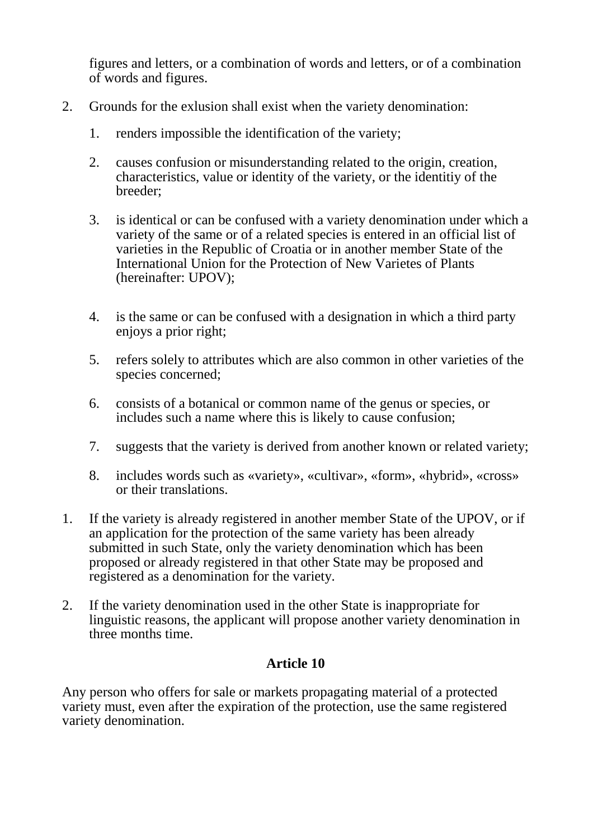figures and letters, or a combination of words and letters, or of a combination of words and figures.

- 2. Grounds for the exlusion shall exist when the variety denomination:
	- 1. renders impossible the identification of the variety;
	- 2. causes confusion or misunderstanding related to the origin, creation, characteristics, value or identity of the variety, or the identitiy of the breeder;
	- 3. is identical or can be confused with a variety denomination under which a variety of the same or of a related species is entered in an official list of varieties in the Republic of Croatia or in another member State of the International Union for the Protection of New Varietes of Plants (hereinafter: UPOV);
	- 4. is the same or can be confused with a designation in which a third party enjoys a prior right;
	- 5. refers solely to attributes which are also common in other varieties of the species concerned;
	- 6. consists of a botanical or common name of the genus or species, or includes such a name where this is likely to cause confusion;
	- 7. suggests that the variety is derived from another known or related variety;
	- 8. includes words such as «variety», «cultivar», «form», «hybrid», «cross» or their translations.
- 1. If the variety is already registered in another member State of the UPOV, or if an application for the protection of the same variety has been already submitted in such State, only the variety denomination which has been proposed or already registered in that other State may be proposed and registered as a denomination for the variety.
- 2. If the variety denomination used in the other State is inappropriate for linguistic reasons, the applicant will propose another variety denomination in three months time.

### **Article 10**

Any person who offers for sale or markets propagating material of a protected variety must, even after the expiration of the protection, use the same registered variety denomination.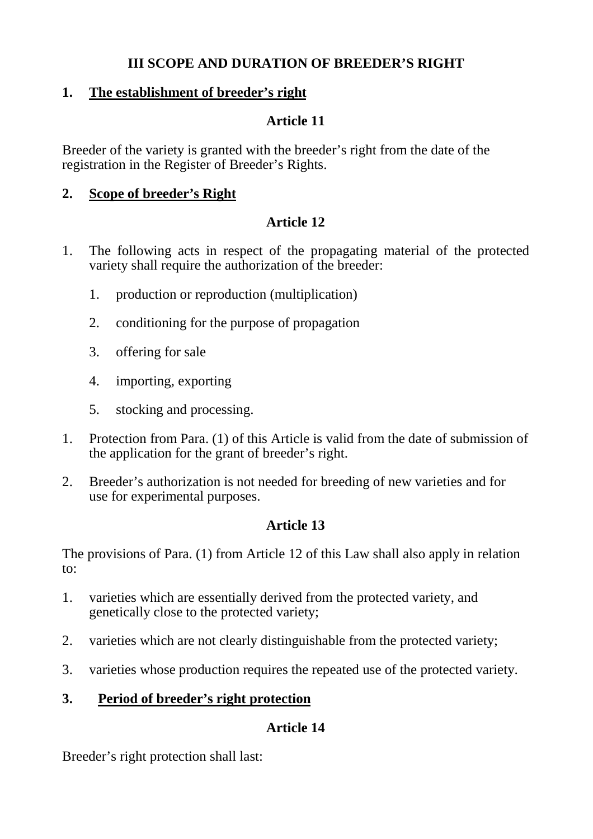### **III SCOPE AND DURATION OF BREEDER'S RIGHT**

# **1. The establishment of breeder's right**

# **Article 11**

Breeder of the variety is granted with the breeder's right from the date of the registration in the Register of Breeder's Rights.

#### **2. Scope of breeder's Right**

### **Article 12**

- 1. The following acts in respect of the propagating material of the protected variety shall require the authorization of the breeder:
	- 1. production or reproduction (multiplication)
	- 2. conditioning for the purpose of propagation
	- 3. offering for sale
	- 4. importing, exporting
	- 5. stocking and processing.
- 1. Protection from Para. (1) of this Article is valid from the date of submission of the application for the grant of breeder's right.
- 2. Breeder's authorization is not needed for breeding of new varieties and for use for experimental purposes.

# **Article 13**

The provisions of Para. (1) from Article 12 of this Law shall also apply in relation to:

- 1. varieties which are essentially derived from the protected variety, and genetically close to the protected variety;
- 2. varieties which are not clearly distinguishable from the protected variety;
- 3. varieties whose production requires the repeated use of the protected variety.

# **3. Period of breeder's right protection**

# **Article 14**

Breeder's right protection shall last: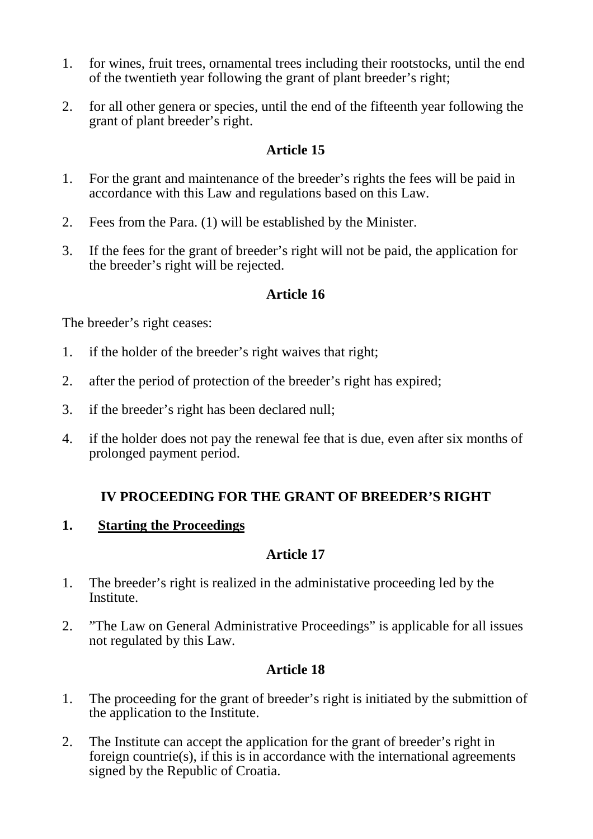- 1. for wines, fruit trees, ornamental trees including their rootstocks, until the end of the twentieth year following the grant of plant breeder's right;
- 2. for all other genera or species, until the end of the fifteenth year following the grant of plant breeder's right.

- 1. For the grant and maintenance of the breeder's rights the fees will be paid in accordance with this Law and regulations based on this Law.
- 2. Fees from the Para. (1) will be established by the Minister.
- 3. If the fees for the grant of breeder's right will not be paid, the application for the breeder's right will be rejected.

# **Article 16**

The breeder's right ceases:

- 1. if the holder of the breeder's right waives that right;
- 2. after the period of protection of the breeder's right has expired;
- 3. if the breeder's right has been declared null;
- 4. if the holder does not pay the renewal fee that is due, even after six months of prolonged payment period.

# **IV PROCEEDING FOR THE GRANT OF BREEDER'S RIGHT**

# **1. Starting the Proceedings**

# **Article 17**

- 1. The breeder's right is realized in the administative proceeding led by the Institute.
- 2. "The Law on General Administrative Proceedings" is applicable for all issues not regulated by this Law.

- 1. The proceeding for the grant of breeder's right is initiated by the submittion of the application to the Institute.
- 2. The Institute can accept the application for the grant of breeder's right in foreign countrie(s), if this is in accordance with the international agreements signed by the Republic of Croatia.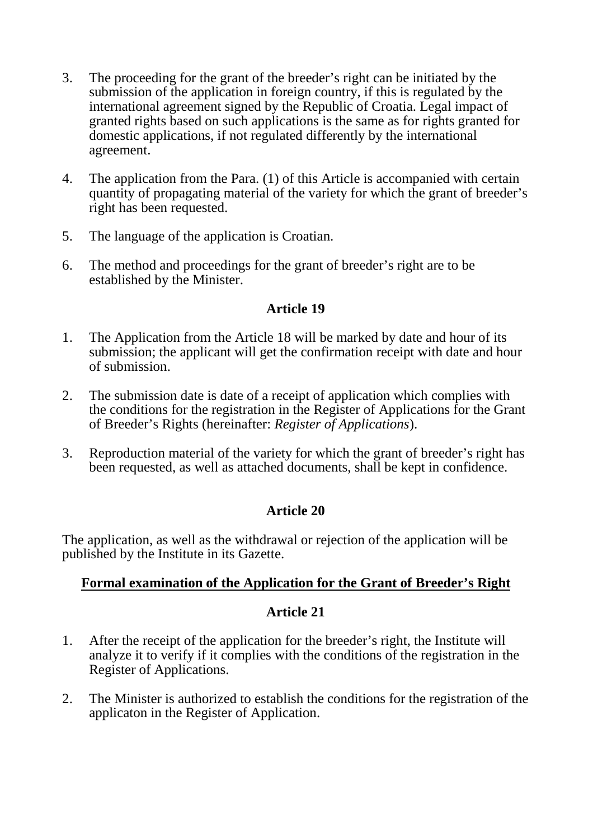- 3. The proceeding for the grant of the breeder's right can be initiated by the submission of the application in foreign country, if this is regulated by the international agreement signed by the Republic of Croatia. Legal impact of granted rights based on such applications is the same as for rights granted for domestic applications, if not regulated differently by the international agreement.
- 4. The application from the Para. (1) of this Article is accompanied with certain quantity of propagating material of the variety for which the grant of breeder's right has been requested.
- 5. The language of the application is Croatian.
- 6. The method and proceedings for the grant of breeder's right are to be established by the Minister.

- 1. The Application from the Article 18 will be marked by date and hour of its submission; the applicant will get the confirmation receipt with date and hour of submission.
- 2. The submission date is date of a receipt of application which complies with the conditions for the registration in the Register of Applications for the Grant of Breeder's Rights (hereinafter: *Register of Applications*).
- 3. Reproduction material of the variety for which the grant of breeder's right has been requested, as well as attached documents, shall be kept in confidence.

### **Article 20**

The application, as well as the withdrawal or rejection of the application will be published by the Institute in its Gazette.

### **Formal examination of the Application for the Grant of Breeder's Right**

- 1. After the receipt of the application for the breeder's right, the Institute will analyze it to verify if it complies with the conditions of the registration in the Register of Applications.
- 2. The Minister is authorized to establish the conditions for the registration of the applicaton in the Register of Application.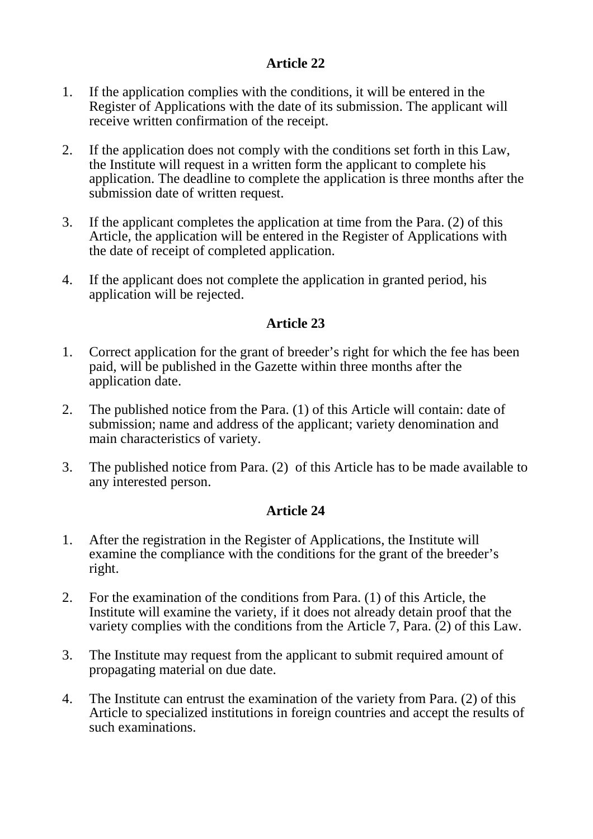- 1. If the application complies with the conditions, it will be entered in the Register of Applications with the date of its submission. The applicant will receive written confirmation of the receipt.
- 2. If the application does not comply with the conditions set forth in this Law, the Institute will request in a written form the applicant to complete his application. The deadline to complete the application is three months after the submission date of written request.
- 3. If the applicant completes the application at time from the Para. (2) of this Article, the application will be entered in the Register of Applications with the date of receipt of completed application.
- 4. If the applicant does not complete the application in granted period, his application will be rejected.

### **Article 23**

- 1. Correct application for the grant of breeder's right for which the fee has been paid, will be published in the Gazette within three months after the application date.
- 2. The published notice from the Para. (1) of this Article will contain: date of submission; name and address of the applicant; variety denomination and main characteristics of variety.
- 3. The published notice from Para. (2) of this Article has to be made available to any interested person.

- 1. After the registration in the Register of Applications, the Institute will examine the compliance with the conditions for the grant of the breeder's right.
- 2. For the examination of the conditions from Para. (1) of this Article, the Institute will examine the variety, if it does not already detain proof that the variety complies with the conditions from the Article 7, Para. (2) of this Law.
- 3. The Institute may request from the applicant to submit required amount of propagating material on due date.
- 4. The Institute can entrust the examination of the variety from Para. (2) of this Article to specialized institutions in foreign countries and accept the results of such examinations.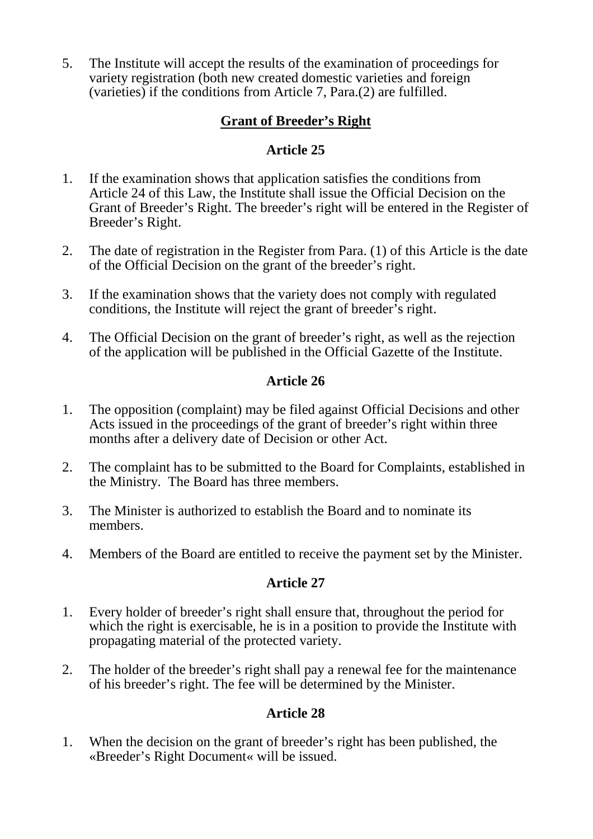5. The Institute will accept the results of the examination of proceedings for variety registration (both new created domestic varieties and foreign (varieties) if the conditions from Article 7, Para.(2) are fulfilled.

# **Grant of Breeder's Right**

# **Article 25**

- 1. If the examination shows that application satisfies the conditions from Article 24 of this Law, the Institute shall issue the Official Decision on the Grant of Breeder's Right. The breeder's right will be entered in the Register of Breeder's Right.
- 2. The date of registration in the Register from Para. (1) of this Article is the date of the Official Decision on the grant of the breeder's right.
- 3. If the examination shows that the variety does not comply with regulated conditions, the Institute will reject the grant of breeder's right.
- 4. The Official Decision on the grant of breeder's right, as well as the rejection of the application will be published in the Official Gazette of the Institute.

#### **Article 26**

- 1. The opposition (complaint) may be filed against Official Decisions and other Acts issued in the proceedings of the grant of breeder's right within three months after a delivery date of Decision or other Act.
- 2. The complaint has to be submitted to the Board for Complaints, established in the Ministry. The Board has three members.
- 3. The Minister is authorized to establish the Board and to nominate its members.
- 4. Members of the Board are entitled to receive the payment set by the Minister.

### **Article 27**

- 1. Every holder of breeder's right shall ensure that, throughout the period for which the right is exercisable, he is in a position to provide the Institute with propagating material of the protected variety.
- 2. The holder of the breeder's right shall pay a renewal fee for the maintenance of his breeder's right. The fee will be determined by the Minister.

### **Article 28**

1. When the decision on the grant of breeder's right has been published, the «Breeder's Right Document« will be issued.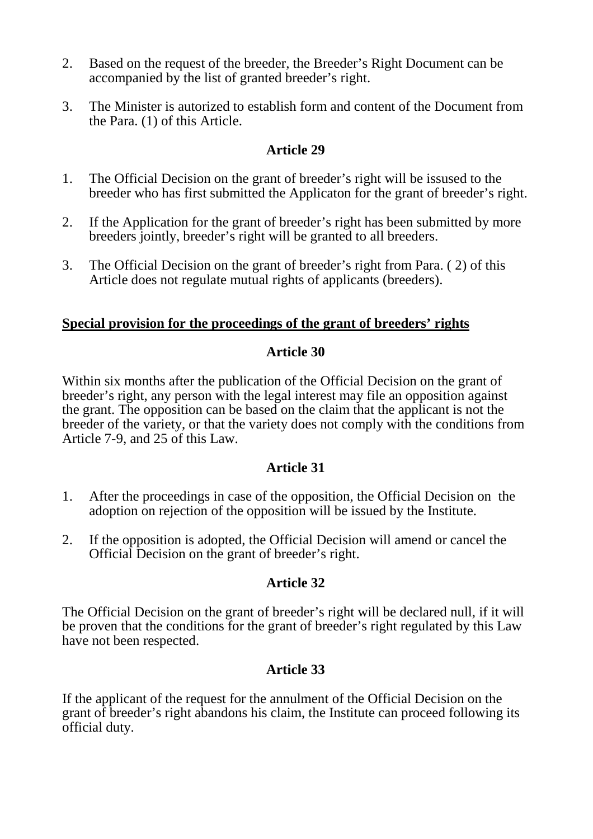- 2. Based on the request of the breeder, the Breeder's Right Document can be accompanied by the list of granted breeder's right.
- 3. The Minister is autorized to establish form and content of the Document from the Para. (1) of this Article.

- 1. The Official Decision on the grant of breeder's right will be issused to the breeder who has first submitted the Applicaton for the grant of breeder's right.
- 2. If the Application for the grant of breeder's right has been submitted by more breeders jointly, breeder's right will be granted to all breeders.
- 3. The Official Decision on the grant of breeder's right from Para. ( 2) of this Article does not regulate mutual rights of applicants (breeders).

### **Special provision for the proceedings of the grant of breeders' rights**

### **Article 30**

Within six months after the publication of the Official Decision on the grant of breeder's right, any person with the legal interest may file an opposition against the grant. The opposition can be based on the claim that the applicant is not the breeder of the variety, or that the variety does not comply with the conditions from Article 7-9, and 25 of this Law.

### **Article 31**

- 1. After the proceedings in case of the opposition, the Official Decision on the adoption on rejection of the opposition will be issued by the Institute.
- 2. If the opposition is adopted, the Official Decision will amend or cancel the Official Decision on the grant of breeder's right.

# **Article 32**

The Official Decision on the grant of breeder's right will be declared null, if it will be proven that the conditions for the grant of breeder's right regulated by this Law have not been respected.

# **Article 33**

If the applicant of the request for the annulment of the Official Decision on the grant of breeder's right abandons his claim, the Institute can proceed following its official duty.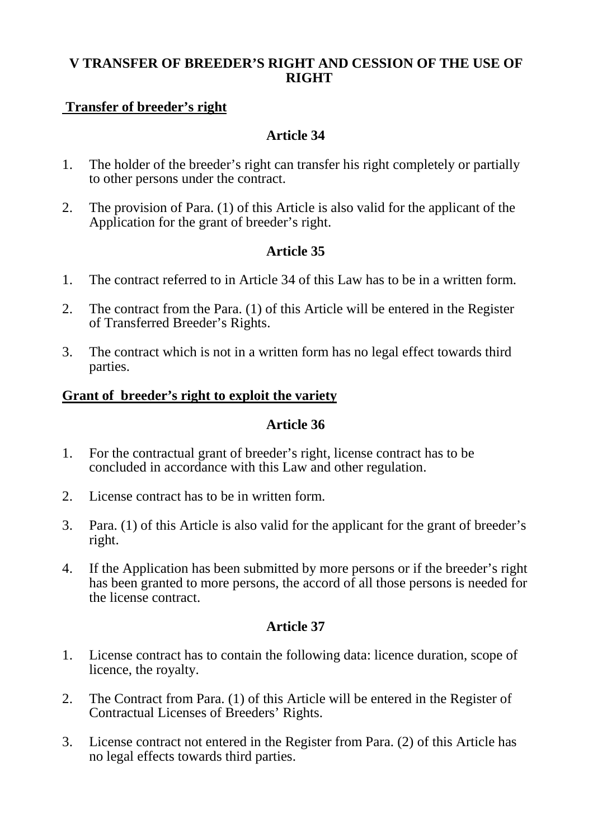#### **V TRANSFER OF BREEDER'S RIGHT AND CESSION OF THE USE OF RIGHT**

#### **Transfer of breeder's right**

#### **Article 34**

- 1. The holder of the breeder's right can transfer his right completely or partially to other persons under the contract.
- 2. The provision of Para. (1) of this Article is also valid for the applicant of the Application for the grant of breeder's right.

#### **Article 35**

- 1. The contract referred to in Article 34 of this Law has to be in a written form.
- 2. The contract from the Para. (1) of this Article will be entered in the Register of Transferred Breeder's Rights.
- 3. The contract which is not in a written form has no legal effect towards third parties.

#### **Grant of breeder's right to exploit the variety**

#### **Article 36**

- 1. For the contractual grant of breeder's right, license contract has to be concluded in accordance with this Law and other regulation.
- 2. License contract has to be in written form.
- 3. Para. (1) of this Article is also valid for the applicant for the grant of breeder's right.
- 4. If the Application has been submitted by more persons or if the breeder's right has been granted to more persons, the accord of all those persons is needed for the license contract.

- 1. License contract has to contain the following data: licence duration, scope of licence, the royalty.
- 2. The Contract from Para. (1) of this Article will be entered in the Register of Contractual Licenses of Breeders' Rights.
- 3. License contract not entered in the Register from Para. (2) of this Article has no legal effects towards third parties.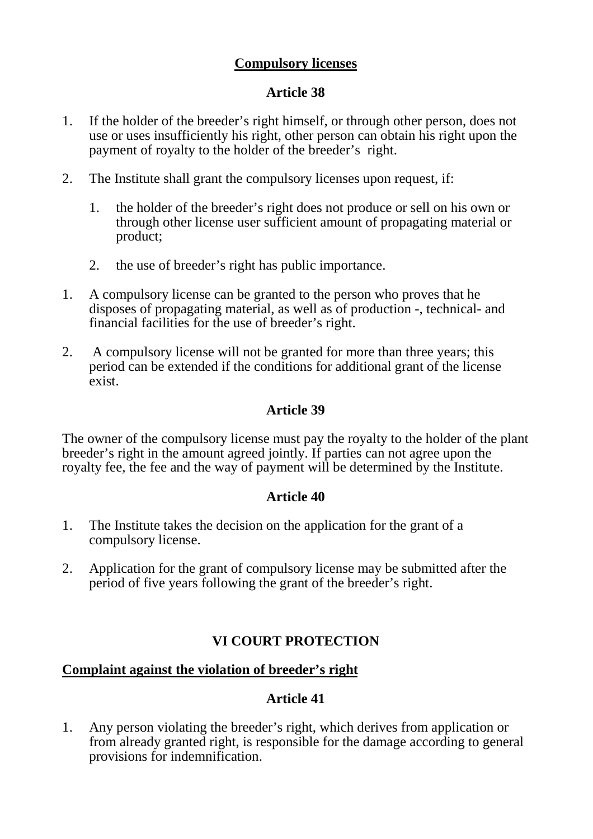### **Compulsory licenses**

#### **Article 38**

- 1. If the holder of the breeder's right himself, or through other person, does not use or uses insufficiently his right, other person can obtain his right upon the payment of royalty to the holder of the breeder's right.
- 2. The Institute shall grant the compulsory licenses upon request, if:
	- 1. the holder of the breeder's right does not produce or sell on his own or through other license user sufficient amount of propagating material or product;
	- 2. the use of breeder's right has public importance.
- 1. A compulsory license can be granted to the person who proves that he disposes of propagating material, as well as of production -, technical- and financial facilities for the use of breeder's right.
- 2. A compulsory license will not be granted for more than three years; this period can be extended if the conditions for additional grant of the license exist.

# **Article 39**

The owner of the compulsory license must pay the royalty to the holder of the plant breeder's right in the amount agreed jointly. If parties can not agree upon the royalty fee, the fee and the way of payment will be determined by the Institute.

### **Article 40**

- 1. The Institute takes the decision on the application for the grant of a compulsory license.
- 2. Application for the grant of compulsory license may be submitted after the period of five years following the grant of the breeder's right.

# **VI COURT PROTECTION**

# **Complaint against the violation of breeder's right**

### **Article 41**

1. Any person violating the breeder's right, which derives from application or from already granted right, is responsible for the damage according to general provisions for indemnification.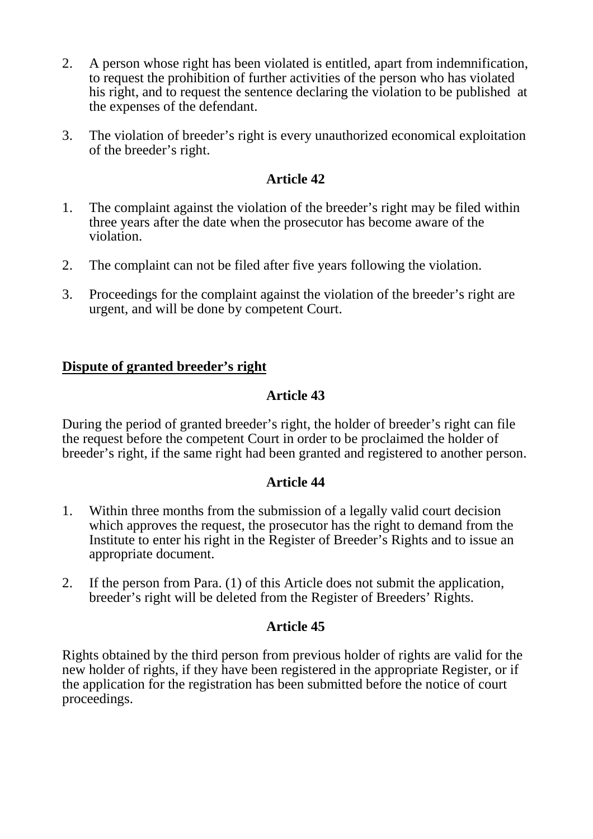- 2. A person whose right has been violated is entitled, apart from indemnification, to request the prohibition of further activities of the person who has violated his right, and to request the sentence declaring the violation to be published at the expenses of the defendant.
- 3. The violation of breeder's right is every unauthorized economical exploitation of the breeder's right.

- 1. The complaint against the violation of the breeder's right may be filed within three years after the date when the prosecutor has become aware of the violation.
- 2. The complaint can not be filed after five years following the violation.
- 3. Proceedings for the complaint against the violation of the breeder's right are urgent, and will be done by competent Court.

### **Dispute of granted breeder's right**

#### **Article 43**

During the period of granted breeder's right, the holder of breeder's right can file the request before the competent Court in order to be proclaimed the holder of breeder's right, if the same right had been granted and registered to another person.

#### **Article 44**

- 1. Within three months from the submission of a legally valid court decision which approves the request, the prosecutor has the right to demand from the Institute to enter his right in the Register of Breeder's Rights and to issue an appropriate document.
- 2. If the person from Para. (1) of this Article does not submit the application, breeder's right will be deleted from the Register of Breeders' Rights.

#### **Article 45**

Rights obtained by the third person from previous holder of rights are valid for the new holder of rights, if they have been registered in the appropriate Register, or if the application for the registration has been submitted before the notice of court proceedings.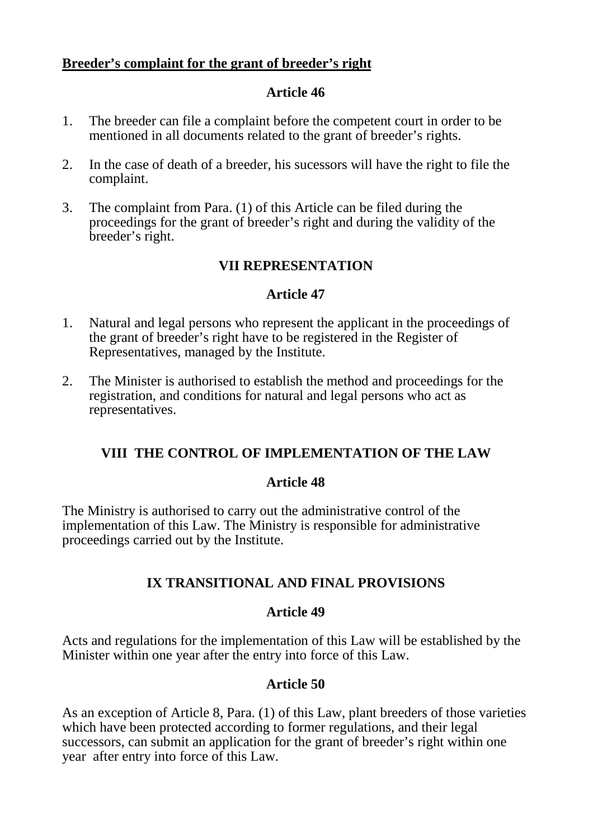#### **Breeder's complaint for the grant of breeder's right**

#### **Article 46**

- 1. The breeder can file a complaint before the competent court in order to be mentioned in all documents related to the grant of breeder's rights.
- 2. In the case of death of a breeder, his sucessors will have the right to file the complaint.
- 3. The complaint from Para. (1) of this Article can be filed during the proceedings for the grant of breeder's right and during the validity of the breeder's right.

# **VII REPRESENTATION**

# **Article 47**

- 1. Natural and legal persons who represent the applicant in the proceedings of the grant of breeder's right have to be registered in the Register of Representatives, managed by the Institute.
- 2. The Minister is authorised to establish the method and proceedings for the registration, and conditions for natural and legal persons who act as representatives.

### **VIII THE CONTROL OF IMPLEMENTATION OF THE LAW**

### **Article 48**

The Ministry is authorised to carry out the administrative control of the implementation of this Law. The Ministry is responsible for administrative proceedings carried out by the Institute.

# **IX TRANSITIONAL AND FINAL PROVISIONS**

### **Article 49**

Acts and regulations for the implementation of this Law will be established by the Minister within one year after the entry into force of this Law.

# **Article 50**

As an exception of Article 8, Para. (1) of this Law, plant breeders of those varieties which have been protected according to former regulations, and their legal successors, can submit an application for the grant of breeder's right within one year after entry into force of this Law.